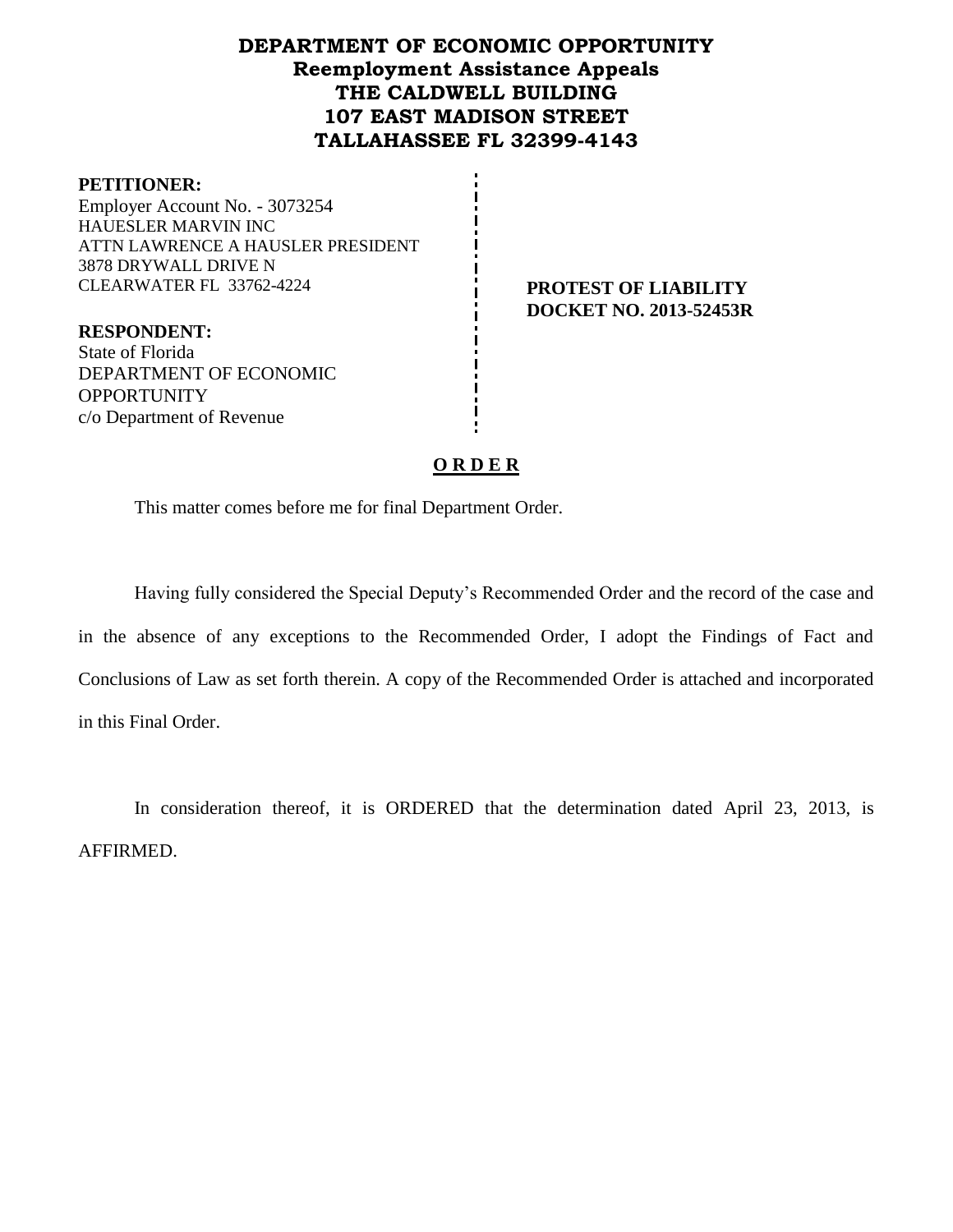# **DEPARTMENT OF ECONOMIC OPPORTUNITY Reemployment Assistance Appeals THE CALDWELL BUILDING 107 EAST MADISON STREET TALLAHASSEE FL 32399-4143**

#### **PETITIONER:**

Employer Account No. - 3073254 HAUESLER MARVIN INC ATTN LAWRENCE A HAUSLER PRESIDENT 3878 DRYWALL DRIVE N CLEARWATER FL 33762-4224 **PROTEST OF LIABILITY**

**DOCKET NO. 2013-52453R**

**RESPONDENT:** State of Florida DEPARTMENT OF ECONOMIC **OPPORTUNITY** c/o Department of Revenue

#### **O R D E R**

This matter comes before me for final Department Order.

Having fully considered the Special Deputy's Recommended Order and the record of the case and in the absence of any exceptions to the Recommended Order, I adopt the Findings of Fact and Conclusions of Law as set forth therein. A copy of the Recommended Order is attached and incorporated in this Final Order.

In consideration thereof, it is ORDERED that the determination dated April 23, 2013, is AFFIRMED.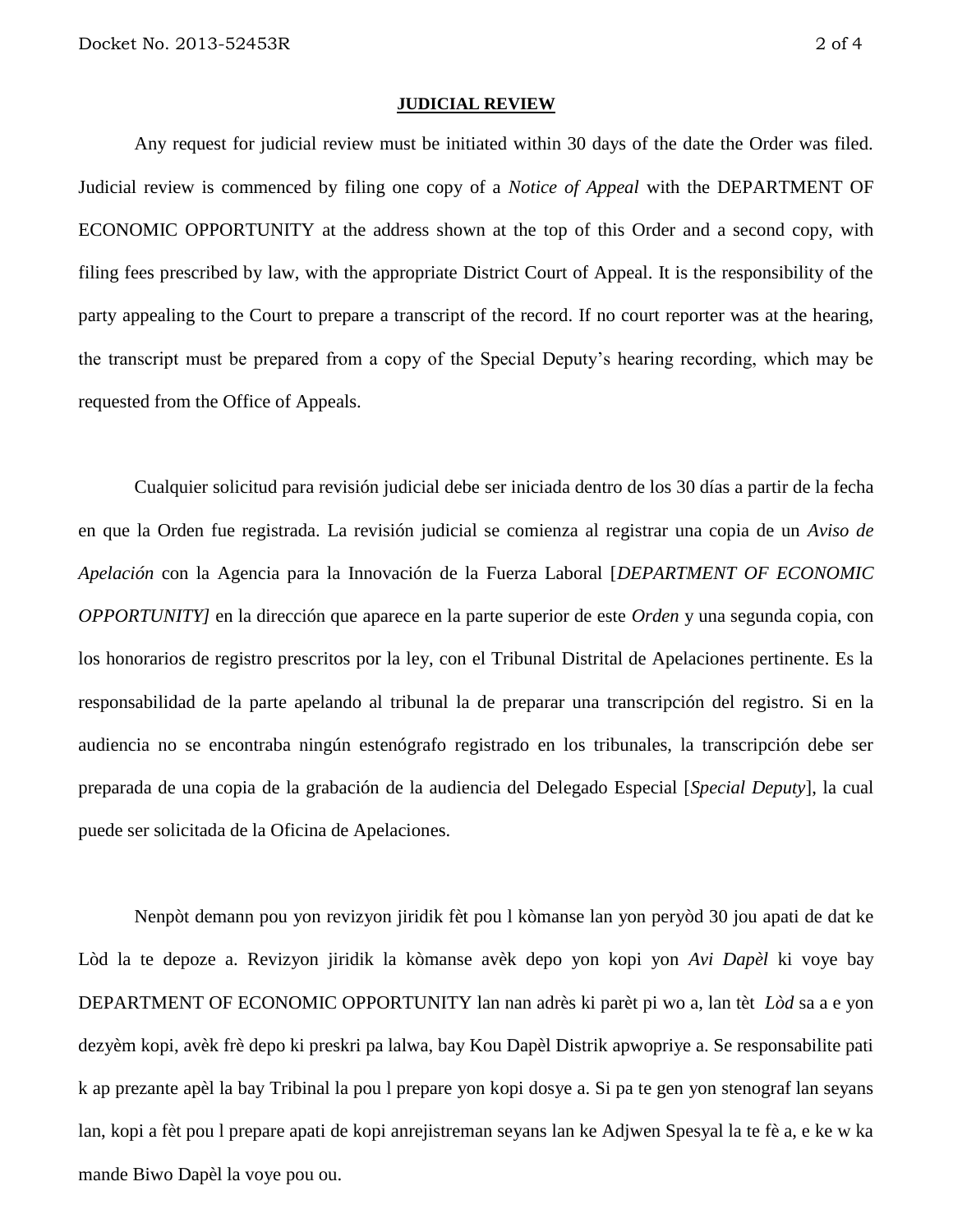#### **JUDICIAL REVIEW**

Any request for judicial review must be initiated within 30 days of the date the Order was filed. Judicial review is commenced by filing one copy of a *Notice of Appeal* with the DEPARTMENT OF ECONOMIC OPPORTUNITY at the address shown at the top of this Order and a second copy, with filing fees prescribed by law, with the appropriate District Court of Appeal. It is the responsibility of the party appealing to the Court to prepare a transcript of the record. If no court reporter was at the hearing, the transcript must be prepared from a copy of the Special Deputy's hearing recording, which may be requested from the Office of Appeals.

Cualquier solicitud para revisión judicial debe ser iniciada dentro de los 30 días a partir de la fecha en que la Orden fue registrada. La revisión judicial se comienza al registrar una copia de un *Aviso de Apelación* con la Agencia para la Innovación de la Fuerza Laboral [*DEPARTMENT OF ECONOMIC OPPORTUNITY]* en la dirección que aparece en la parte superior de este *Orden* y una segunda copia, con los honorarios de registro prescritos por la ley, con el Tribunal Distrital de Apelaciones pertinente. Es la responsabilidad de la parte apelando al tribunal la de preparar una transcripción del registro. Si en la audiencia no se encontraba ningún estenógrafo registrado en los tribunales, la transcripción debe ser preparada de una copia de la grabación de la audiencia del Delegado Especial [*Special Deputy*], la cual puede ser solicitada de la Oficina de Apelaciones.

Nenpòt demann pou yon revizyon jiridik fèt pou l kòmanse lan yon peryòd 30 jou apati de dat ke Lòd la te depoze a. Revizyon jiridik la kòmanse avèk depo yon kopi yon *Avi Dapèl* ki voye bay DEPARTMENT OF ECONOMIC OPPORTUNITY lan nan adrès ki parèt pi wo a, lan tèt *Lòd* sa a e yon dezyèm kopi, avèk frè depo ki preskri pa lalwa, bay Kou Dapèl Distrik apwopriye a. Se responsabilite pati k ap prezante apèl la bay Tribinal la pou l prepare yon kopi dosye a. Si pa te gen yon stenograf lan seyans lan, kopi a fèt pou l prepare apati de kopi anrejistreman seyans lan ke Adjwen Spesyal la te fè a, e ke w ka mande Biwo Dapèl la voye pou ou.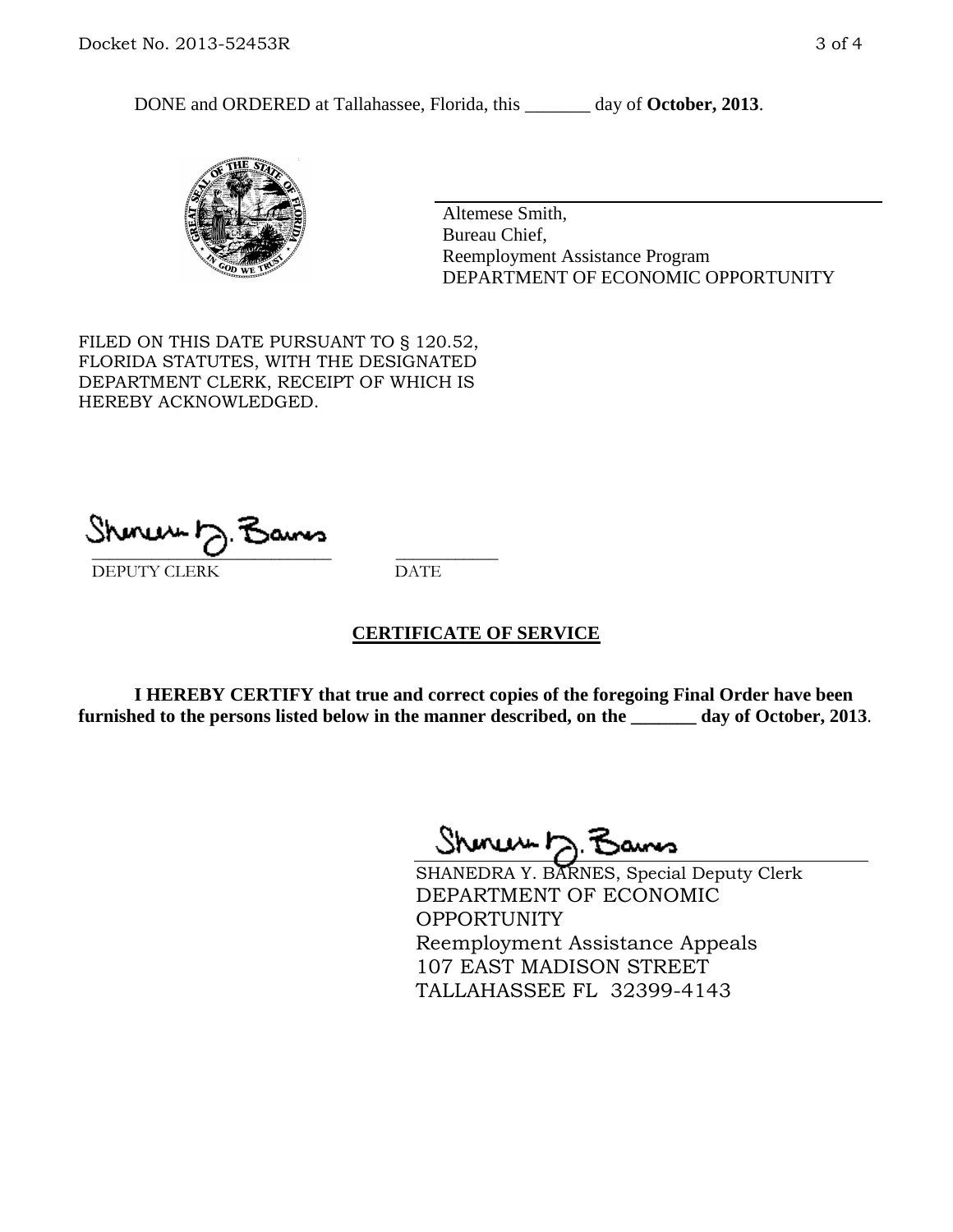DONE and ORDERED at Tallahassee, Florida, this day of October, 2013.



Altemese Smith, Bureau Chief, Reemployment Assistance Program DEPARTMENT OF ECONOMIC OPPORTUNITY

FILED ON THIS DATE PURSUANT TO § 120.52, FLORIDA STATUTES, WITH THE DESIGNATED DEPARTMENT CLERK, RECEIPT OF WHICH IS HEREBY ACKNOWLEDGED.

 $\overline{\phantom{a}}$  ,  $\overline{\phantom{a}}$  ,  $\overline{\phantom{a}}$  ,  $\overline{\phantom{a}}$  ,  $\overline{\phantom{a}}$  ,  $\overline{\phantom{a}}$  ,  $\overline{\phantom{a}}$  ,  $\overline{\phantom{a}}$  ,  $\overline{\phantom{a}}$  ,  $\overline{\phantom{a}}$  ,  $\overline{\phantom{a}}$  ,  $\overline{\phantom{a}}$  ,  $\overline{\phantom{a}}$  ,  $\overline{\phantom{a}}$  ,  $\overline{\phantom{a}}$  ,  $\overline{\phantom{a}}$ DEPUTY CLERK DATE

### **CERTIFICATE OF SERVICE**

**I HEREBY CERTIFY that true and correct copies of the foregoing Final Order have been furnished to the persons listed below in the manner described, on the \_\_\_\_\_\_\_ day of October, 2013**.

Shinew D.F

SHANEDRA Y. BARNES, Special Deputy Clerk DEPARTMENT OF ECONOMIC **OPPORTUNITY** Reemployment Assistance Appeals 107 EAST MADISON STREET TALLAHASSEE FL 32399-4143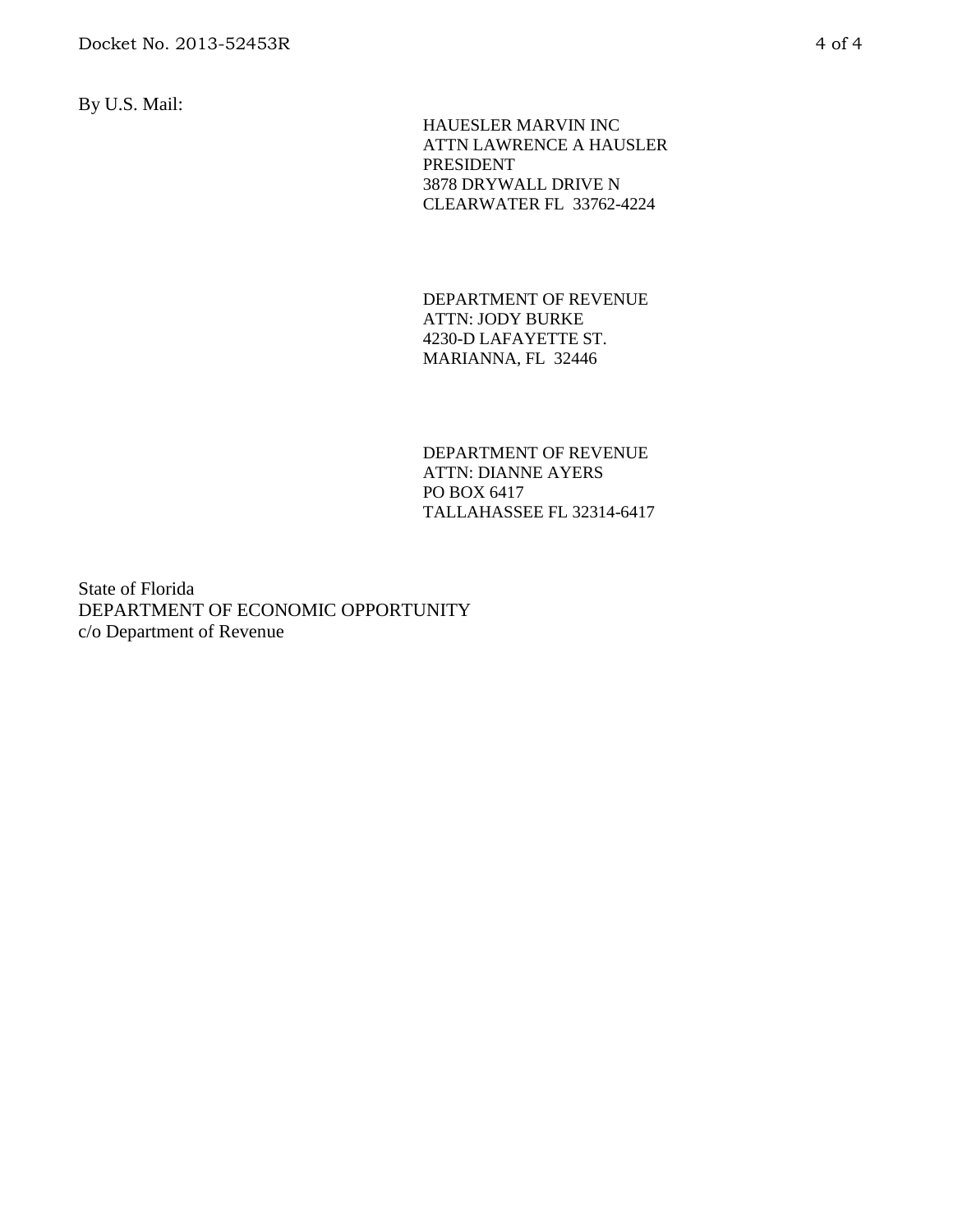By U.S. Mail:

 HAUESLER MARVIN INC ATTN LAWRENCE A HAUSLER PRESIDENT 3878 DRYWALL DRIVE N CLEARWATER FL 33762-4224

DEPARTMENT OF REVENUE ATTN: JODY BURKE 4230-D LAFAYETTE ST. MARIANNA, FL 32446

DEPARTMENT OF REVENUE ATTN: DIANNE AYERS PO BOX 6417 TALLAHASSEE FL 32314-6417

State of Florida DEPARTMENT OF ECONOMIC OPPORTUNITY c/o Department of Revenue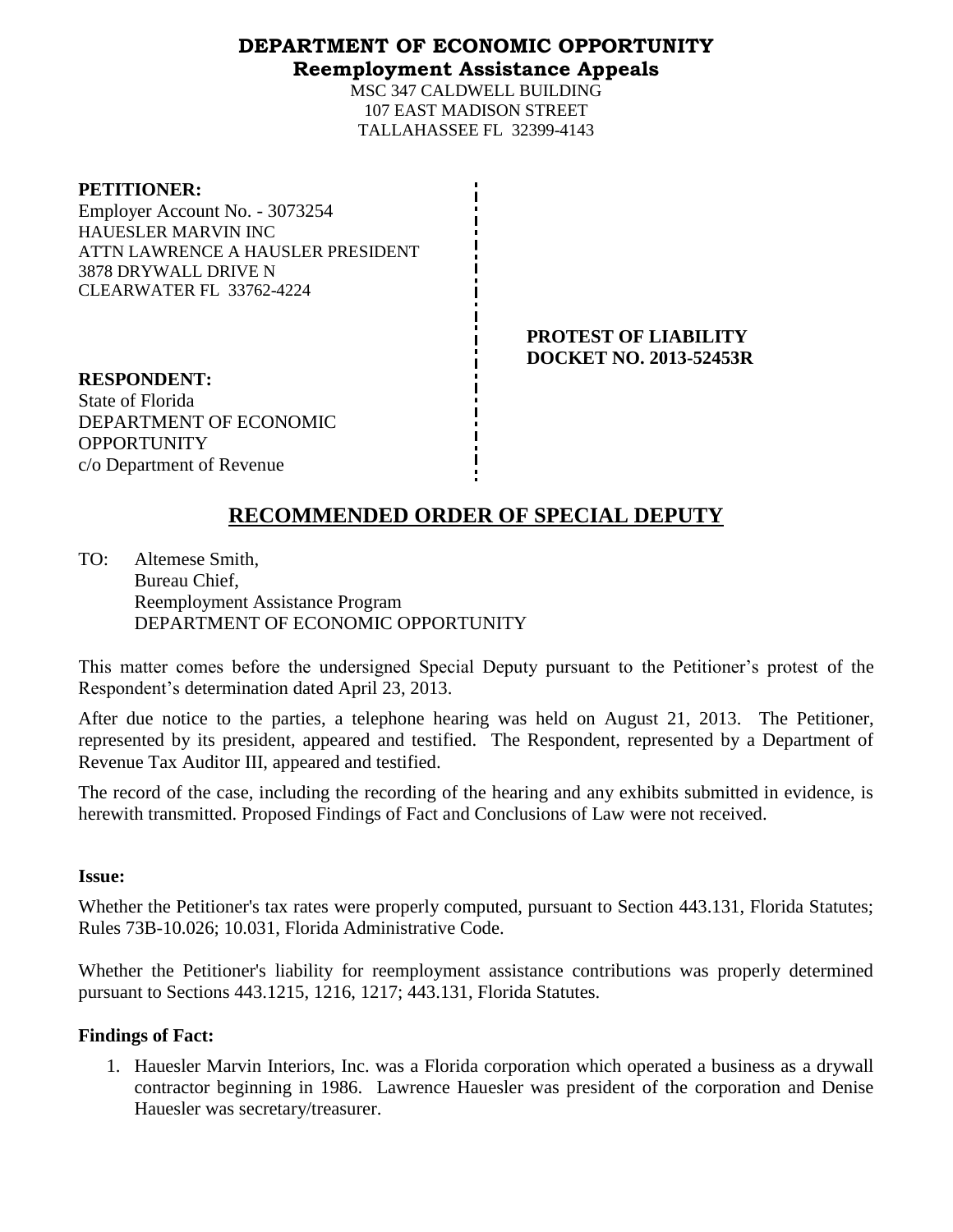# **DEPARTMENT OF ECONOMIC OPPORTUNITY Reemployment Assistance Appeals**

MSC 347 CALDWELL BUILDING 107 EAST MADISON STREET TALLAHASSEE FL 32399-4143

| <b>PETITIONER:</b> |  |
|--------------------|--|
|                    |  |

Employer Account No. - 3073254 HAUESLER MARVIN INC ATTN LAWRENCE A HAUSLER PRESIDENT 3878 DRYWALL DRIVE N CLEARWATER FL 33762-4224

> **PROTEST OF LIABILITY DOCKET NO. 2013-52453R**

**RESPONDENT:** State of Florida DEPARTMENT OF ECONOMIC **OPPORTUNITY** c/o Department of Revenue

# **RECOMMENDED ORDER OF SPECIAL DEPUTY**

TO: Altemese Smith, Bureau Chief, Reemployment Assistance Program DEPARTMENT OF ECONOMIC OPPORTUNITY

This matter comes before the undersigned Special Deputy pursuant to the Petitioner's protest of the Respondent's determination dated April 23, 2013.

After due notice to the parties, a telephone hearing was held on August 21, 2013. The Petitioner, represented by its president, appeared and testified. The Respondent, represented by a Department of Revenue Tax Auditor III, appeared and testified.

The record of the case, including the recording of the hearing and any exhibits submitted in evidence, is herewith transmitted. Proposed Findings of Fact and Conclusions of Law were not received.

### **Issue:**

Whether the Petitioner's tax rates were properly computed, pursuant to Section 443.131, Florida Statutes; Rules 73B-10.026; 10.031, Florida Administrative Code.

Whether the Petitioner's liability for reemployment assistance contributions was properly determined pursuant to Sections 443.1215, 1216, 1217; 443.131, Florida Statutes.

# **Findings of Fact:**

1. Hauesler Marvin Interiors, Inc. was a Florida corporation which operated a business as a drywall contractor beginning in 1986. Lawrence Hauesler was president of the corporation and Denise Hauesler was secretary/treasurer.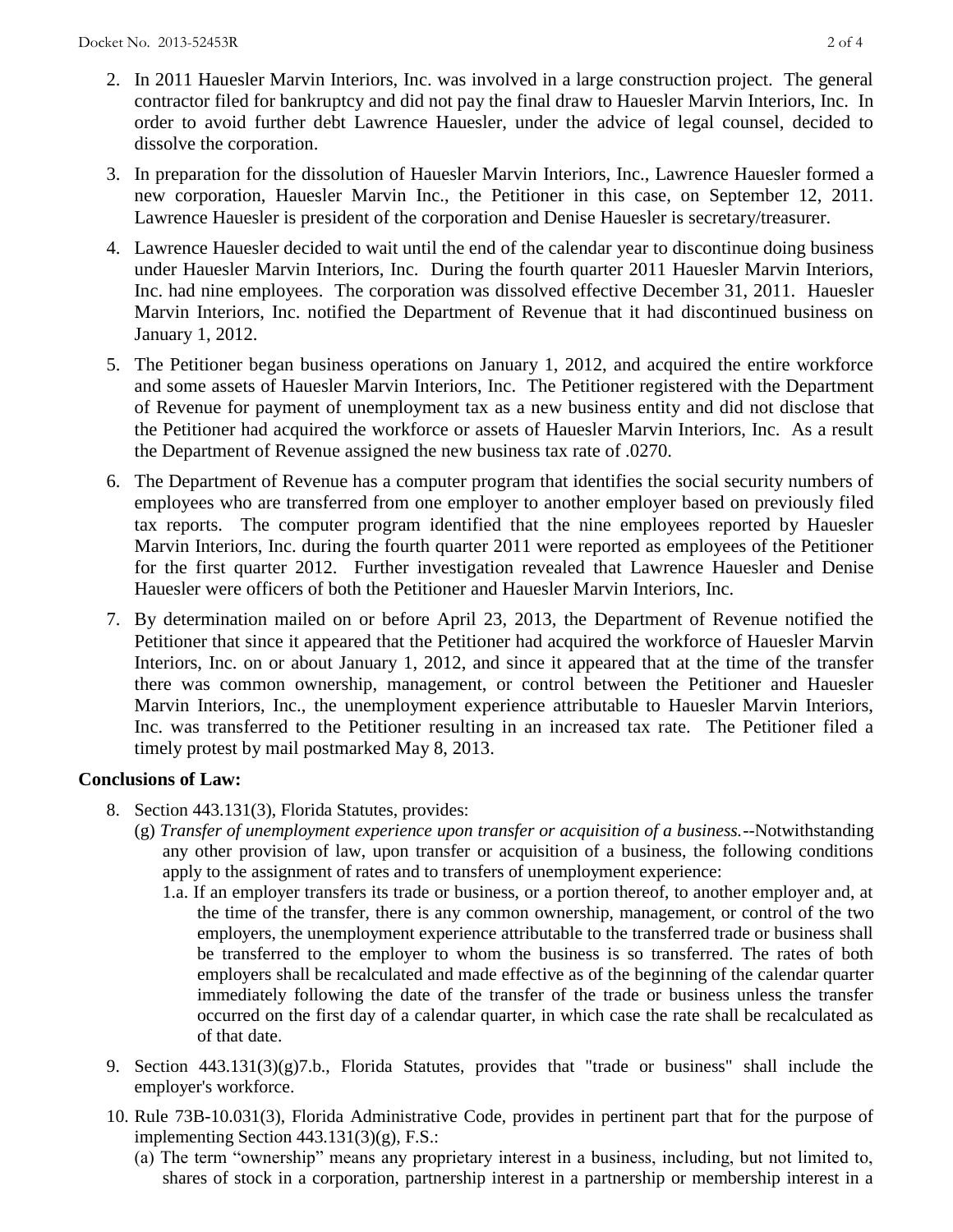- 2. In 2011 Hauesler Marvin Interiors, Inc. was involved in a large construction project. The general contractor filed for bankruptcy and did not pay the final draw to Hauesler Marvin Interiors, Inc. In order to avoid further debt Lawrence Hauesler, under the advice of legal counsel, decided to dissolve the corporation.
- 3. In preparation for the dissolution of Hauesler Marvin Interiors, Inc., Lawrence Hauesler formed a new corporation, Hauesler Marvin Inc., the Petitioner in this case, on September 12, 2011. Lawrence Hauesler is president of the corporation and Denise Hauesler is secretary/treasurer.
- 4. Lawrence Hauesler decided to wait until the end of the calendar year to discontinue doing business under Hauesler Marvin Interiors, Inc. During the fourth quarter 2011 Hauesler Marvin Interiors, Inc. had nine employees. The corporation was dissolved effective December 31, 2011. Hauesler Marvin Interiors, Inc. notified the Department of Revenue that it had discontinued business on January 1, 2012.
- 5. The Petitioner began business operations on January 1, 2012, and acquired the entire workforce and some assets of Hauesler Marvin Interiors, Inc. The Petitioner registered with the Department of Revenue for payment of unemployment tax as a new business entity and did not disclose that the Petitioner had acquired the workforce or assets of Hauesler Marvin Interiors, Inc. As a result the Department of Revenue assigned the new business tax rate of .0270.
- 6. The Department of Revenue has a computer program that identifies the social security numbers of employees who are transferred from one employer to another employer based on previously filed tax reports. The computer program identified that the nine employees reported by Hauesler Marvin Interiors, Inc. during the fourth quarter 2011 were reported as employees of the Petitioner for the first quarter 2012. Further investigation revealed that Lawrence Hauesler and Denise Hauesler were officers of both the Petitioner and Hauesler Marvin Interiors, Inc.
- 7. By determination mailed on or before April 23, 2013, the Department of Revenue notified the Petitioner that since it appeared that the Petitioner had acquired the workforce of Hauesler Marvin Interiors, Inc. on or about January 1, 2012, and since it appeared that at the time of the transfer there was common ownership, management, or control between the Petitioner and Hauesler Marvin Interiors, Inc., the unemployment experience attributable to Hauesler Marvin Interiors, Inc. was transferred to the Petitioner resulting in an increased tax rate. The Petitioner filed a timely protest by mail postmarked May 8, 2013.

# **Conclusions of Law:**

- 8. Section 443.131(3), Florida Statutes, provides:
	- (g) *Transfer of unemployment experience upon transfer or acquisition of a business.*--Notwithstanding any other provision of law, upon transfer or acquisition of a business, the following conditions apply to the assignment of rates and to transfers of unemployment experience:
		- 1.a. If an employer transfers its trade or business, or a portion thereof, to another employer and, at the time of the transfer, there is any common ownership, management, or control of the two employers, the unemployment experience attributable to the transferred trade or business shall be transferred to the employer to whom the business is so transferred. The rates of both employers shall be recalculated and made effective as of the beginning of the calendar quarter immediately following the date of the transfer of the trade or business unless the transfer occurred on the first day of a calendar quarter, in which case the rate shall be recalculated as of that date.
- 9. Section 443.131(3)(g)7.b., Florida Statutes, provides that "trade or business" shall include the employer's workforce.
- 10. Rule 73B-10.031(3), Florida Administrative Code, provides in pertinent part that for the purpose of implementing Section 443.131(3)(g), F.S.:
	- (a) The term "ownership" means any proprietary interest in a business, including, but not limited to, shares of stock in a corporation, partnership interest in a partnership or membership interest in a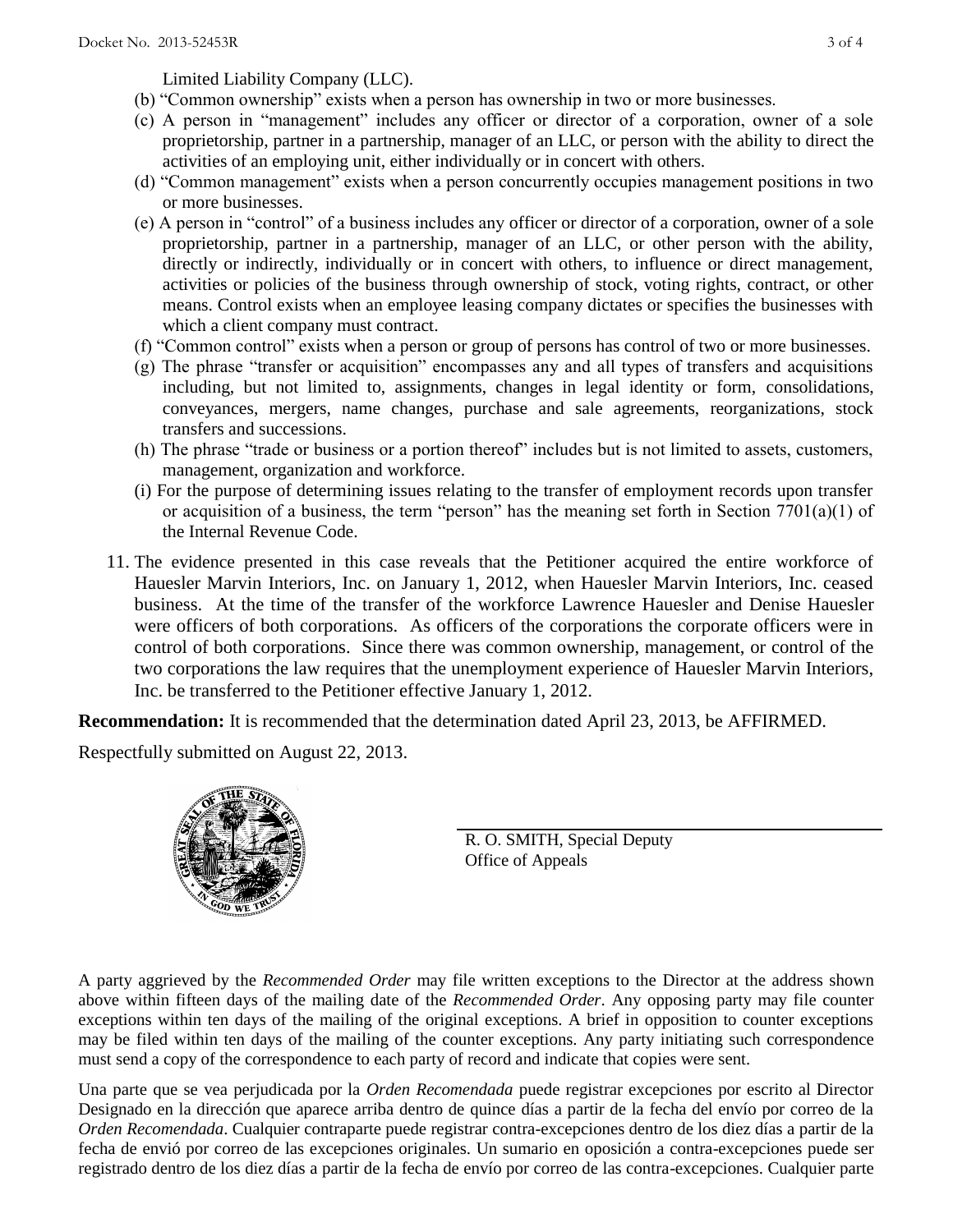Limited Liability Company (LLC).

- (b) "Common ownership" exists when a person has ownership in two or more businesses.
- (c) A person in "management" includes any officer or director of a corporation, owner of a sole proprietorship, partner in a partnership, manager of an LLC, or person with the ability to direct the activities of an employing unit, either individually or in concert with others.
- (d) "Common management" exists when a person concurrently occupies management positions in two or more businesses.
- (e) A person in "control" of a business includes any officer or director of a corporation, owner of a sole proprietorship, partner in a partnership, manager of an LLC, or other person with the ability, directly or indirectly, individually or in concert with others, to influence or direct management, activities or policies of the business through ownership of stock, voting rights, contract, or other means. Control exists when an employee leasing company dictates or specifies the businesses with which a client company must contract.
- (f) "Common control" exists when a person or group of persons has control of two or more businesses.
- (g) The phrase "transfer or acquisition" encompasses any and all types of transfers and acquisitions including, but not limited to, assignments, changes in legal identity or form, consolidations, conveyances, mergers, name changes, purchase and sale agreements, reorganizations, stock transfers and successions.
- (h) The phrase "trade or business or a portion thereof" includes but is not limited to assets, customers, management, organization and workforce.
- (i) For the purpose of determining issues relating to the transfer of employment records upon transfer or acquisition of a business, the term "person" has the meaning set forth in Section 7701(a)(1) of the Internal Revenue Code.
- 11. The evidence presented in this case reveals that the Petitioner acquired the entire workforce of Hauesler Marvin Interiors, Inc. on January 1, 2012, when Hauesler Marvin Interiors, Inc. ceased business. At the time of the transfer of the workforce Lawrence Hauesler and Denise Hauesler were officers of both corporations. As officers of the corporations the corporate officers were in control of both corporations. Since there was common ownership, management, or control of the two corporations the law requires that the unemployment experience of Hauesler Marvin Interiors, Inc. be transferred to the Petitioner effective January 1, 2012.

**Recommendation:** It is recommended that the determination dated April 23, 2013, be AFFIRMED.

Respectfully submitted on August 22, 2013.



R. O. SMITH, Special Deputy Office of Appeals

A party aggrieved by the *Recommended Order* may file written exceptions to the Director at the address shown above within fifteen days of the mailing date of the *Recommended Order*. Any opposing party may file counter exceptions within ten days of the mailing of the original exceptions. A brief in opposition to counter exceptions may be filed within ten days of the mailing of the counter exceptions. Any party initiating such correspondence must send a copy of the correspondence to each party of record and indicate that copies were sent.

Una parte que se vea perjudicada por la *Orden Recomendada* puede registrar excepciones por escrito al Director Designado en la dirección que aparece arriba dentro de quince días a partir de la fecha del envío por correo de la *Orden Recomendada*. Cualquier contraparte puede registrar contra-excepciones dentro de los diez días a partir de la fecha de envió por correo de las excepciones originales. Un sumario en oposición a contra-excepciones puede ser registrado dentro de los diez días a partir de la fecha de envío por correo de las contra-excepciones. Cualquier parte